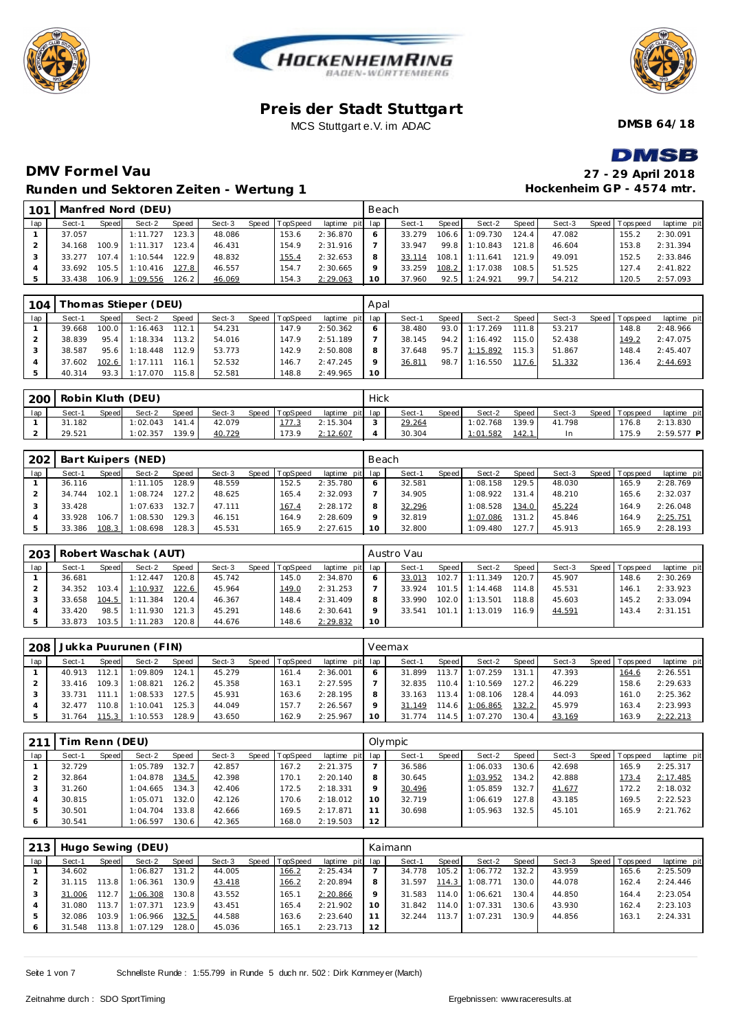





**DMSB 64/18**

**BEAT** 

# **DMV Formel Vau Runden und Sektoren Zeiten - Wertung 1**

| <b>DIVISB</b>             |
|---------------------------|
| 27 - 29 April 2018        |
| Hockenheim GP - 4574 mtr. |

| 101 |        |         | Manfred Nord (DEU) |       |        |       |          |                 | Beach   |        |       |          |        |        |                 |             |
|-----|--------|---------|--------------------|-------|--------|-------|----------|-----------------|---------|--------|-------|----------|--------|--------|-----------------|-------------|
| lap | Sect-1 | Speed   | Sect-2             | Speed | Sect-3 | Speed | TopSpeed | laptime pit lap |         | Sect-1 | Speed | Sect-2   | Speed  | Sect-3 | Speed Tops peed | laptime pit |
|     | 37.057 |         | 1:11.727           | 123.3 | 48.086 |       | 153.6    | 2:36.870        | 6       | 33.279 | 106.6 | 1:09.730 | 124.4  | 47.082 | 155.2           | 2:30.091    |
|     | 34.168 | 100.9   | 1:11.317           | 123.4 | 46.431 |       | 154.9    | 2:31.916        |         | 33.947 | 99.8  | 1:10.843 | 121.8  | 46.604 | 153.8           | 2:31.394    |
|     | 33.277 | $107.4$ | 1:10.544           | 122.9 | 48.832 |       | 155.4    | 2:32.653        | 8       | 33.114 | 108.1 | 1:11.641 | 121.9  | 49.091 | 152.5           | 2:33.846    |
|     | 33.692 | 105.5   | 1:10.416           | 127.8 | 46.557 |       | 154.7    | 2:30.665        | $\circ$ | 33.259 | 108.2 | 1:17.038 | 108.51 | 51.525 | 127.4           | 2:41.822    |
|     | 33.438 | 106.9   | 1:09.556           | 126.2 | 46.069 |       | 154.3    | 2:29.063        | 10      | 37.960 | 92.5  | 1:24.921 | 99.7   | 54.212 | 120.5           | 2:57.093    |

| 104 |        |              | Thomas Stieper (DEU) |       |        |       |          |                 | Apal    |        |       |               |       |        |                |             |
|-----|--------|--------------|----------------------|-------|--------|-------|----------|-----------------|---------|--------|-------|---------------|-------|--------|----------------|-------------|
| lap | Sect-1 | <b>Speed</b> | Sect-2               | Speed | Sect-3 | Speed | TopSpeed | laptime pit lap |         | Sect-1 | Speed | Sect-2        | Speed | Sect-3 | Speed Topspeed | laptime pit |
|     | 39.668 |              | $100.0$ 1:16.463     | 112.1 | 54.231 |       | 147.9    | 2:50.362        | 6       | 38.480 | 93.0  | 1:17.269      | 111.8 | 53.217 | 148.8          | 2:48.966    |
|     | 38.839 | 95.4         | 1:18.334             | 113.2 | 54.016 |       | 147.9    | 2:51.189        |         | 38.145 |       | 94.2 1:16.492 | 115.0 | 52.438 | 149.2          | 2:47.075    |
|     | 38.587 | 95.6         | 1:18.448             | 112.9 | 53.773 |       | 142.9    | 2:50.808        | 8       | 37.648 | 95.7  | 1:15.892      | 115.3 | 51.867 | 148.4          | 2:45.407    |
|     | 37.602 |              | 102.6 1:17.111 116.1 |       | 52.532 |       | 146.7    | 2:47.245        | $\circ$ | 36.811 | 98.7  | 1:16.550      | 117.6 | 51.332 | 136.4          | 2:44.693    |
|     | 40.314 | 93.3         | 1:17.070             | 115.8 | 52.581 |       | 148.8    | 2:49.965        | 10      |        |       |               |       |        |                |             |

| 200 |        |       | Robin Kluth (DEU) |              |        |                |                 | Hick   |        |       |          |       |        |                   |              |
|-----|--------|-------|-------------------|--------------|--------|----------------|-----------------|--------|--------|-------|----------|-------|--------|-------------------|--------------|
| lap | Sect-1 | Speed | Sect-2            | <b>Speed</b> | Sect-3 | Speed TopSpeed | laptime pit lap |        | Sect-1 | Speed | Sect-2   | Speed | Sect-3 | Speed   Tops peed | laptime pit  |
|     | 31.182 |       | 1:02.043          | 141.4        | 42.079 | 177.3          | 2:15.304        | $\sim$ | 29.264 |       | 1:02.768 | 139.9 | 41.798 | 176.8             | 2:13.830     |
|     | 29.521 |       | 1:02.357          | 139.9        | 40.729 | 173.9          | 2:12.607        |        | 30.304 |       | 1:01.582 | 142.1 | In     | 175.9             | $2:59.577$ P |

| 202 |        |       | Bart Kuipers (NED) |       |        |                |             | Beach   |        |       |          |       |        |                |             |
|-----|--------|-------|--------------------|-------|--------|----------------|-------------|---------|--------|-------|----------|-------|--------|----------------|-------------|
| lap | Sect-1 | Speed | Sect-2             | Speed | Sect-3 | Speed TopSpeed | laptime pit | lap     | Sect-1 | Speed | Sect-2   | Speed | Sect-3 | Speed Topspeed | laptime pit |
|     | 36.116 |       | 1:11.105           | 128.9 | 48.559 | 152.5          | 2:35.780    | O       | 32.581 |       | 1:08.158 | 129.5 | 48.030 | 165.9          | 2:28.769    |
|     | 34.744 | 102.  | 1:08.724           | 127.2 | 48.625 | 165.4          | 2:32.093    |         | 34.905 |       | 1:08.922 | 131.4 | 48.210 | 165.6          | 2:32.037    |
|     | 33.428 |       | 1:07.633           | 132.7 | 47.111 | 167.4          | 2:28.172    | 8       | 32.296 |       | 1:08.528 | 134.0 | 45.224 | 164.9          | 2:26.048    |
|     | 33.928 | 106.  | 1:08.530           | 129.3 | 46.151 | 164.9          | 2:28.609    | $\circ$ | 32.819 |       | 1:07.086 | 131.2 | 45.846 | 164.9          | 2:25.751    |
|     | 33.386 | 108.3 | 1:08.698           | 128.3 | 45.531 | 165.9          | 2:27.615    | 10      | 32.800 |       | 1:09.480 | 127.7 | 45.913 | 165.9          | 2:28.193    |

| 203 |        |       | Robert Waschak (AUT) |           |        |                |                 |    | Austro Vau |       |          |         |        |         |          |             |
|-----|--------|-------|----------------------|-----------|--------|----------------|-----------------|----|------------|-------|----------|---------|--------|---------|----------|-------------|
| lap | Sect-1 | Speed | Sect-2               | Speed     | Sect-3 | Speed TopSpeed | laptime pit lap |    | Sect-1     | Speed | Sect-2   | Speed I | Sect-3 | Speed I | Topspeed | laptime pit |
|     | 36.681 |       | 1:12.447             | 120.8     | 45.742 | 145.0          | 2:34.870        |    | 33.013     | 102.7 | 1:11.349 | 120.7   | 45.907 |         | 148.6    | 2:30.269    |
|     | 34.352 |       | 103.4 1:10.937       | 122.6     | 45.964 | 149.0          | 2:31.253        |    | 33.924     | 101.5 | 1:14.468 | 114.8   | 45.531 |         | 146.7    | 2:33.923    |
|     | 33.658 |       | $104.5$ 1:11.384     | $120.4$ . | 46.367 | 148.4          | 2:31.409        |    | 33.990     | 102.0 | 1:13.501 | 118.8   | 45.603 |         | 145.2    | 2:33.094    |
|     | 33.420 |       | 98.5 1:11.930        | 121.3     | 45.291 | 148.6          | 2:30.641        |    | 33.541     | 101.1 | 1:13.019 | 116.9   | 44.591 |         | 143.4    | 2:31.151    |
|     | 33.873 |       | $103.5$ 1:11.283     | 120.8     | 44.676 | 148.6          | 2:29.832        | 10 |            |       |          |         |        |         |          |             |

| 208 |        |         | Jukka Puurunen (FIN) |                    |        |       |                 |                 |         | Veemax |       |                |       |        |                 |             |
|-----|--------|---------|----------------------|--------------------|--------|-------|-----------------|-----------------|---------|--------|-------|----------------|-------|--------|-----------------|-------------|
| lap | Sect-1 | Speed   | Sect-2               | Speed              | Sect-3 | Speed | <b>TopSpeed</b> | laptime pit lap |         | Sect-1 | Speed | Sect-2         | Speed | Sect-3 | Speed Tops peed | laptime pit |
|     | 40.913 | 112.1   | 1:09.809             | 124.1              | 45.279 |       | 161.4           | 2:36.001        |         | 31.899 | 113.7 | 1:07.259       | 131.1 | 47.393 | 164.6           | 2:26.551    |
|     | 33.416 | 109.3   | 1:08.821             | 126.2              | 45.358 |       | 163.1           | 2:27.595        |         | 32.835 | 110.4 | 1:10.569       | 127.2 | 46.229 | 158.6           | 2:29.633    |
|     | 33.731 | 111.1   | 1:08.533             | 127.5 <sub>1</sub> | 45.931 |       | 163.6           | 2:28.195        | 8       | 33.163 | 113.4 | 1:08.106       | 128.4 | 44.093 | 161.0           | 2:25.362    |
|     | 32.477 | 110.8 L | 1:10.041             | 125.3              | 44.049 |       | 157.7           | 2:26.567        | $\circ$ | 31.149 |       | 114.6 1:06.865 | 132.2 | 45.979 | 163.4           | 2:23.993    |
|     | 31.764 | 115.3   | 1:10.553             | 128.9              | 43.650 |       | 162.9           | 2:25.967        | 10      | 31.774 |       | 114.5 1:07.270 | 130.4 | 43.169 | 163.9           | 2:22.213    |

| 211 | im Renn (DEU) |       |          |       |        |                |                 |         | Olympic |       |          |                    |        |                |             |
|-----|---------------|-------|----------|-------|--------|----------------|-----------------|---------|---------|-------|----------|--------------------|--------|----------------|-------------|
| lap | Sect-1        | Speed | Sect-2   | Speed | Sect-3 | Speed TopSpeed | laptime pit lap |         | Sect-1  | Speed | Sect-2   | Speed              | Sect-3 | Speed Topspeed | laptime pit |
|     | 32.729        |       | 1:05.789 | 132.7 | 42.857 | 167.2          | 2:21.375        |         | 36.586  |       | 1:06.033 | 130.6              | 42.698 | 165.9          | 2:25.317    |
|     | 32.864        |       | 1:04.878 | 134.5 | 42.398 | 170.1          | 2:20.140        | 8       | 30.645  |       | 1:03.952 | 134.2 <sub>1</sub> | 42.888 | 173.4          | 2:17.485    |
|     | 31.260        |       | 1:04.665 | 134.3 | 42.406 | 172.5          | 2:18.331        | $\circ$ | 30.496  |       | 1:05.859 | 132.7              | 41.677 | 172.2          | 2:18.032    |
|     | 30.815        |       | 1:05.071 | 132.0 | 42.126 | 170.6          | 2:18.012        | 10      | 32.719  |       | 1:06.619 | 127.8              | 43.185 | 169.5          | 2:22.523    |
|     | 30.501        |       | 1:04.704 | 133.8 | 42.666 | 169.5          | 2:17.871        | 11      | 30.698  |       | 1:05.963 | 132.5              | 45.101 | 165.9          | 2:21.762    |
| 6   | 30.541        |       | 1:06.597 | 130.6 | 42.365 | 168.0          | 2:19.503        | 12      |         |       |          |                    |        |                |             |

| 213 |        |       | Hugo Sewing (DEU) |       |        |                |             |                 | Kaimann |        |          |       |        |                |             |
|-----|--------|-------|-------------------|-------|--------|----------------|-------------|-----------------|---------|--------|----------|-------|--------|----------------|-------------|
| lap | Sect-1 | Speed | Sect-2            | Speed | Sect-3 | Speed TopSpeed | laptime pit | lap             | Sect-1  | Speed  | Sect-2   | Speed | Sect-3 | Speed Topspeed | laptime pit |
|     | 34.602 |       | 1:06.827          | 131.2 | 44.005 | 166.2          | 2:25.434    |                 | 34.778  | 105.2  | 1:06.772 | 132.2 | 43.959 | 165.6          | 2:25.509    |
|     | 31.115 | 13.8  | 1:06.361          | 130.9 | 43.418 | 166.2          | 2:20.894    | 8               | 31.597  | 114.31 | 1:08.771 | 130.0 | 44.078 | 162.4          | 2:24.446    |
|     | 31.006 | 12.7  | 1:06.308          | 130.8 | 43.552 | 165.1          | 2:20.866    | $\mathsf Q$     | 31.583  | 114.0  | 1:06.621 | 130.4 | 44.850 | 164.4          | 2:23.054    |
|     | 31.080 | 113.7 | 1:07.371          | 123.9 | 43.451 | 165.4          | 2:21.902    | 10 <sup>°</sup> | 31.842  | 114.0  | 1:07.331 | 130.6 | 43.930 | 162.4          | 2:23.103    |
|     | 32.086 | 103.9 | 1:06.966          | 132.5 | 44.588 | 163.6          | 2:23.640    |                 | 32.244  | 113.7  | 1:07.231 | 130.9 | 44.856 | 163.1          | 2:24.331    |
|     | 31.548 | 113.8 | 1:07.129          | 128.0 | 45.036 | 165.1          | 2:23.713    | 12              |         |        |          |       |        |                |             |

Seite 1 von 7 Schnellste Runde : 1:55.799 in Runde 5 duch nr. 502 : Dirk Kornmey er (March)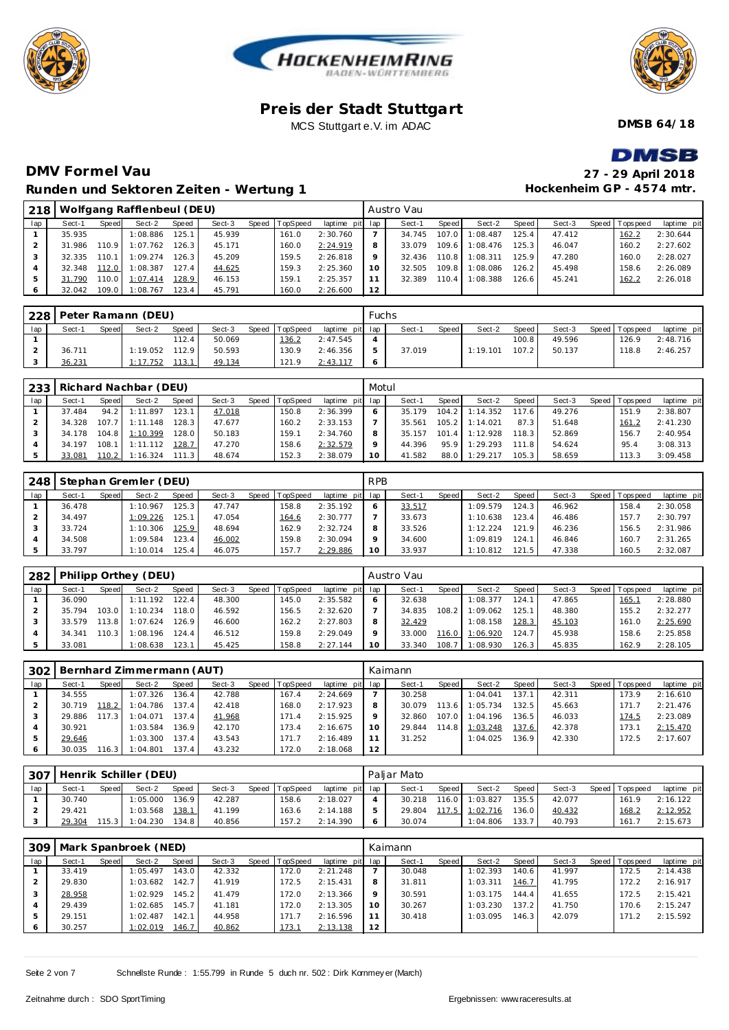





**DMSB 64/18**

# **DMV Formel Vau Runden und Sektoren Zeiten - Wertung 1**

| DMSB                      |
|---------------------------|
| 27 - 29 April 2018        |
| Hockenheim GP - 4574 mtr. |

| 218 |        |                    | Wolfgang Rafflenbeul (DEU) |       |        |                |                 |         | Austro Vau |         |          |        |        |                |             |
|-----|--------|--------------------|----------------------------|-------|--------|----------------|-----------------|---------|------------|---------|----------|--------|--------|----------------|-------------|
| lap | Sect-1 | Speed              | Sect-2                     | Speed | Sect-3 | Speed TopSpeed | laptime pit lap |         | Sect-1     | Speed I | Sect-2   | Speed  | Sect-3 | Speed Topspeed | laptime pit |
|     | 35.935 |                    | 1:08.886                   | 125.1 | 45.939 | 161.0          | 2:30.760        |         | 34.745     | 107.0   | 1:08.487 | 125.4  | 47.412 | 162.2          | 2:30.644    |
|     | 31.986 | 110.9              | 1:07.762                   | 126.3 | 45.171 | 160.0          | 2:24.919        | 8       | 33.079     | 109.6   | 1:08.476 | 125.3  | 46.047 | 160.2          | 2:27.602    |
|     | 32.335 | 110.1 <sub>1</sub> | 1:09.274                   | 126.3 | 45.209 | 159.5          | 2:26.818        | $\circ$ | 32.436     | 110.8   | 1:08.311 | 125.9  | 47.280 | 160.0          | 2:28.027    |
|     | 32.348 | 112.0              | 1:08.387                   | 127.4 | 44.625 | 159.3          | 2:25.360        | 10      | 32.505     | 109.8   | 1:08.086 | 126.21 | 45.498 | 158.6          | 2:26.089    |
|     | 31.790 | 110.0              | 1:07.414                   | 128.9 | 46.153 | 159.1          | 2:25.357        |         | 32.389     | 110.4   | 1:08.388 | 126.6  | 45.241 | 162.2          | 2:26.018    |
|     | 32.042 | 109.0              | 1:08.767                   | 123.4 | 45.791 | 160.0          | 2:26.600        | 12      |            |         |          |        |        |                |             |

| 228 |        |       | Peter Ramann (DEU) |       |        |       |          |                 | Fuchs         |        |       |          |       |        |                 |             |
|-----|--------|-------|--------------------|-------|--------|-------|----------|-----------------|---------------|--------|-------|----------|-------|--------|-----------------|-------------|
| lap | Sect-1 | Speed | Sect-2             | Speed | Sect-3 | Speed | TopSpeed | laptime pit lap |               | Sect-1 | Speed | Sect-2   | Speed | Sect-3 | Speed Tops peed | laptime pit |
|     |        |       |                    | 112.4 | 50.069 |       | 136.2    | 2:47.545        |               |        |       |          | 100.8 | 49.596 | 126.9           | 2:48.716    |
|     | 36.711 |       | 1:19.052           | 112.9 | 50.593 |       | 130.9    | 2:46.356        | $\mathcal{P}$ | 37.019 |       | 1:19.101 | 107.2 | 50.137 | 118.8           | 2:46.257    |
|     | 36.231 |       | 1:17.752           | 113.1 | 49.134 |       | 121.9    | 2:43.117        |               |        |       |          |       |        |                 |             |

|     |        |       | 233   Richard Nachbar (DEU) |       |        |       |                 |                 | Motul |        |         |          |       |        |                  |             |
|-----|--------|-------|-----------------------------|-------|--------|-------|-----------------|-----------------|-------|--------|---------|----------|-------|--------|------------------|-------------|
| lap | Sect-1 | Speed | Sect-2                      | Speed | Sect-3 | Speed | <b>TopSpeed</b> | laptime pit lap |       | Sect-1 | Speed I | Sect-2   | Speed | Sect-3 | Speed   Topspeed | laptime pit |
|     | 37.484 | 94.2  | 1:11.897                    | 123.1 | 47.018 |       | 150.8           | 2:36.399        |       | 35.179 | 104.2   | 1:14.352 | 117.6 | 49.276 | 151.9            | 2:38.807    |
|     | 34.328 |       | 107.7 1:11.148              | 128.3 | 47.677 |       | 160.2           | 2:33.153        |       | 35.561 | $105.2$ | 1:14.021 | 87.3  | 51.648 | 161.2            | 2:41.230    |
|     | 34.178 |       | 104.8 1:10.399              | 128.0 | 50.183 |       | 159.1           | 2:34.760        |       | 35.157 | 101.4   | 1:12.928 | 118.3 | 52.869 | 156.7            | 2:40.954    |
|     | 34.197 | 108.1 | 1:11.112                    | 128.7 | 47.270 |       | 158.6           | 2:32.579        |       | 44.396 | 95.9    | 1:29.293 | 1118  | 54.624 | 95.4             | 3:08.313    |
|     | 33.081 | 110.2 | $1:16.324$ 111.3            |       | 48.674 |       | 152.3           | 2:38.079        |       | 41.582 | 88.0    | 1:29.217 | 105.3 | 58.659 | 113.3            | 3:09.458    |

| 248 |        |       | Stephan Gremler (DEU) |        |        |                |                 | <b>RPB</b> |        |       |          |        |        |                 |             |
|-----|--------|-------|-----------------------|--------|--------|----------------|-----------------|------------|--------|-------|----------|--------|--------|-----------------|-------------|
| lap | Sect-1 | Speed | Sect-2                | Speed  | Sect-3 | Speed TopSpeed | laptime pit lap |            | Sect-1 | Speed | Sect-2   | Speed  | Sect-3 | Speed Tops peed | laptime pit |
|     | 36.478 |       | 1:10.967              | 125.3  | 47.747 | 158.8          | 2:35.192        |            | 33.517 |       | 1:09.579 | 124.3  | 46.962 | 158.4           | 2:30.058    |
|     | 34.497 |       | 1:09.226              | 125.1  | 47.054 | 164.6          | 2:30.777        |            | 33.673 |       | 1:10.638 | 123.4  | 46.486 | 157.7           | 2:30.797    |
|     | 33.724 |       | 1:10.306              | 125.91 | 48.694 | 162.9          | 2:32.724        |            | 33.526 |       | 1:12.224 | 121.9  | 46.236 | 156.5           | 2:31.986    |
|     | 34.508 |       | 1:09.584              | 123.4  | 46.002 | 159.8          | 2:30.094        |            | 34.600 |       | 1:09.819 | 124.1  | 46.846 | 160.7           | 2:31.265    |
|     | 33.797 |       | 1:10.014              | 125.4  | 46.075 | 157.7          | 2:29.886        | 10         | 33.937 |       | 1:10.812 | 121.51 | 47.338 | 160.5           | 2:32.087    |

| 282 |        |       | Philipp Orthey (DEU) |       |        |       |          |                 |    | Austro Vau |       |          |       |        |                 |             |
|-----|--------|-------|----------------------|-------|--------|-------|----------|-----------------|----|------------|-------|----------|-------|--------|-----------------|-------------|
| lap | Sect-1 | Speed | Sect-2               | Speed | Sect-3 | Speed | TopSpeed | laptime pit lap |    | Sect-1     | Speed | Sect-2   | Speed | Sect-3 | Speed Tops peed | laptime pit |
|     | 36.090 |       | 1:11.192             | 122.4 | 48.300 |       | 145.0    | 2:35.582        |    | 32.638     |       | 1:08.377 | 124.1 | 47.865 | 165.7           | 2:28.880    |
|     | 35.794 | 103.0 | 1:10.234             | 118.0 | 46.592 |       | 156.5    | 2:32.620        |    | 34.835     | 108.2 | 1:09.062 | 125.1 | 48.380 | 155.2           | 2:32.277    |
|     | 33.579 | 13.8  | 1:07.624             | 126.9 | 46.600 |       | 162.2    | 2:27.803        |    | 32.429     |       | 1:08.158 | 128.3 | 45.103 | 161.0           | 2:25.690    |
|     | 34.341 | 110.3 | 1:08.196             | 124.4 | 46.512 |       | 159.8    | 2:29.049        |    | 33.000     | 116.0 | 1:06.920 | 124.7 | 45.938 | 158.6           | 2:25.858    |
|     | 33.081 |       | 1:08.638             | 123.1 | 45.425 |       | 158.8    | 2:27.144        | 10 | 33.340     | 108.7 | 1:08.930 | 126.3 | 45.835 | 162.9           | 2:28.105    |

| 302 |        |       | Bernhard Zimmermann (AUT) |       |        |                |                 |    | Kaimann |       |          |       |        |                |             |
|-----|--------|-------|---------------------------|-------|--------|----------------|-----------------|----|---------|-------|----------|-------|--------|----------------|-------------|
| lap | Sect-1 | Speed | Sect-2                    | Speed | Sect-3 | Speed TopSpeed | laptime pit lap |    | Sect-1  | Speed | Sect-2   | Speed | Sect-3 | Speed Topspeed | laptime pit |
|     | 34.555 |       | 1:07.326                  | 136.4 | 42.788 | 167.4          | 2:24.669        |    | 30.258  |       | 1:04.041 | 137.1 | 42.311 | 173.9          | 2:16.610    |
|     | 30.719 | 18.2  | 1:04.786                  | 137.4 | 42.418 | 168.0          | 2:17.923        |    | 30.079  | 113.6 | 1:05.734 | 132.5 | 45.663 | 171.7          | 2:21.476    |
|     | 29.886 | 17.3  | 1:04.071                  | 137.4 | 41.968 | 171.4          | 2:15.925        |    | 32.860  | 107.0 | 1:04.196 | 136.5 | 46.033 | 174.5          | 2:23.089    |
|     | 30.921 |       | 1:03.584                  | 136.9 | 42.170 | 173.4          | 2:16.675        |    | 29.844  | 114.8 | 1:03.248 | 137.6 | 42.378 | 173.1          | 2:15.470    |
|     | 29.646 |       | 1:03.300                  | 137.4 | 43.543 | 171.7          | 2:16.489        |    | 31.252  |       | 1:04.025 | 136.9 | 42.330 | 172.5          | 2:17.607    |
|     | 30.035 | 16.3  | 1:04.801                  | 137.4 | 43.232 | 172.0          | 2:18.068        | 12 |         |       |          |       |        |                |             |

| 307 |        |              | Henrik Schiller (DEU) |              |        |       |          |                 | Paliar Mato |         |          |       |        |                |             |
|-----|--------|--------------|-----------------------|--------------|--------|-------|----------|-----------------|-------------|---------|----------|-------|--------|----------------|-------------|
| lap | Sect-1 | <b>Speed</b> | Sect-2                | <b>Speed</b> | Sect-3 | Speed | TopSpeed | laptime pit lap | Sect-1      | Speed I | Sect-2   | Speed | Sect-3 | Speed Topspeed | laptime pit |
|     | 30.740 |              | 1:05.000              | 136.9        | 42.287 |       | 158.6    | 2:18.027        | 30.218      | 116.0   | 1:03.827 | 135.5 | 42.077 | 161.9          | 2:16.122    |
|     | 29.421 |              | 1:03.568              | 138.1        | 41.199 |       | 163.6    | 2:14.188        | 29.804      | 117.5   | 1:02.716 | 136.0 | 40.432 | 168.2          | 2:12.952    |
|     | 29.304 | 15.3         | 1:04.230              | 134.8        | 40.856 |       | 157.2    | 2:14.390        | 30.074      |         | 1:04.806 | 133.7 | 40.793 | 161.7          | 2:15.673    |

| 309 |        |       | Mark Spanbroek (NED) |       |        |       |          |                 |         | Kaimann |         |          |       |        |                |             |
|-----|--------|-------|----------------------|-------|--------|-------|----------|-----------------|---------|---------|---------|----------|-------|--------|----------------|-------------|
| lap | Sect-1 | Speed | Sect-2               | Speed | Sect-3 | Speed | TopSpeed | laptime pit lap |         | Sect-1  | Speed I | Sect-2   | Speed | Sect-3 | Speed Topspeed | laptime pit |
|     | 33.419 |       | 1:05.497             | 143.0 | 42.332 |       | 172.0    | 2:21.248        |         | 30.048  |         | 1:02.393 | 140.6 | 41.997 | 172.5          | 2:14.438    |
|     | 29.830 |       | 1:03.682             | 142.7 | 41.919 |       | 172.5    | 2:15.431        | 8       | 31.811  |         | 1:03.311 | 146.7 | 41.795 | 172.2          | 2:16.917    |
|     | 28.958 |       | 1:02.929             | 145.2 | 41.479 |       | 172.0    | 2:13.366        | $\circ$ | 30.591  |         | 1:03.175 | 144.4 | 41.655 | 172.5          | 2:15.421    |
|     | 29.439 |       | 1:02.685             | 145.7 | 41.181 |       | 172.0    | 2:13.305        | 10      | 30.267  |         | 1:03.230 | 137.2 | 41.750 | 170.6          | 2:15.247    |
|     | 29.151 |       | 1:02.487             | 142.1 | 44.958 |       | 171.7    | 2:16.596        |         | 30.418  |         | 1:03.095 | 146.3 | 42.079 | 171.2          | 2:15.592    |
|     | 30.257 |       | 1:02.019             | 146.7 | 40.862 |       | 173.1    | 2:13.138        | 12      |         |         |          |       |        |                |             |

Seite 2 von 7 Schnellste Runde : 1:55.799 in Runde 5 duch nr. 502 : Dirk Kornmey er (March)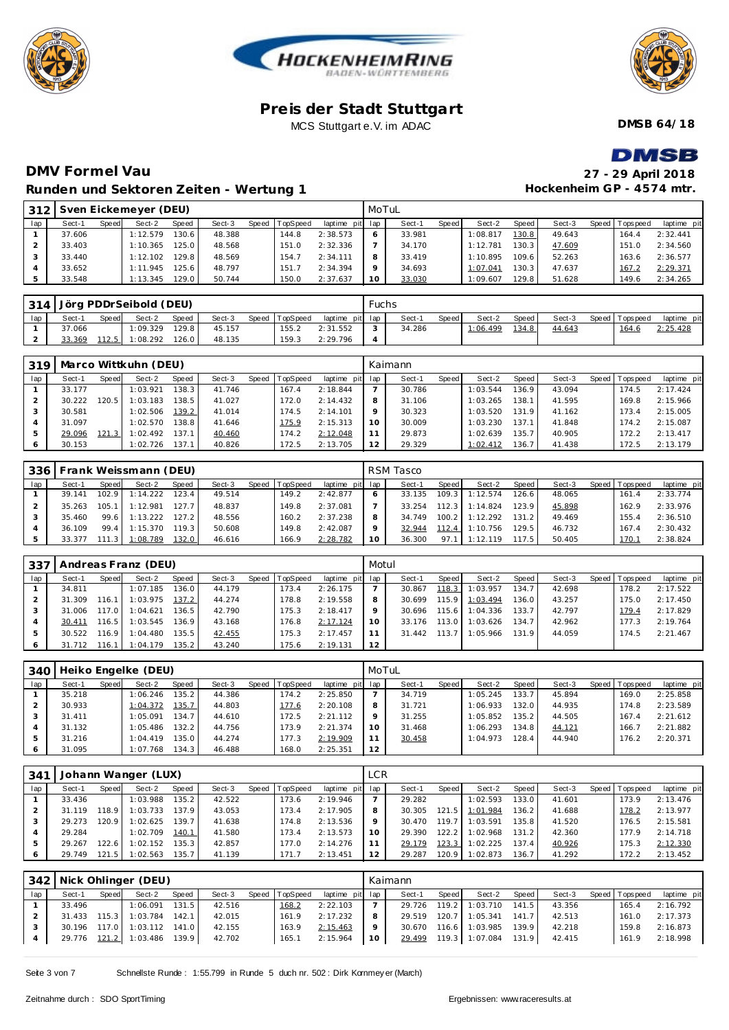





**DMSB 64/18**

# **DMSB**

**Hockenheim GP - 4574 mtr.**

## **DMV Formel Vau 27 - 29 April 2018 Runden und Sektoren Zeiten - Wertung 1**

| 312 |        |              | Sven Eickemeyer (DEU) |              |        |                |                 | MoTuL   |        |              |          |       |        |                 |             |
|-----|--------|--------------|-----------------------|--------------|--------|----------------|-----------------|---------|--------|--------------|----------|-------|--------|-----------------|-------------|
| lap | Sect-1 | <b>Speed</b> | Sect-2                | <b>Speed</b> | Sect-3 | Speed TopSpeed | laptime pit lap |         | Sect-1 | <b>Speed</b> | Sect-2   | Speed | Sect-3 | Speed Tops peed | laptime pit |
|     | 37.606 |              | 1:12.579              | 130.6        | 48.388 | 144.8          | 2:38.573        | 6       | 33.981 |              | 1:08.817 | 130.8 | 49.643 | 164.4           | 2:32.441    |
|     | 33.403 |              | 1:10.365              | 125.0        | 48.568 | 151.0          | 2:32.336        |         | 34.170 |              | 1:12.781 | 130.3 | 47.609 | 151.0           | 2:34.560    |
|     | 33.440 |              | 1:12.102              | 29.8         | 48.569 | 154.7          | 2:34.111        | 8       | 33.419 |              | 1:10.895 | 109.6 | 52.263 | 163.6           | 2:36.577    |
|     | 33.652 |              | 1:11.945              | 125.6        | 48.797 | 151.7          | 2:34.394        | $\circ$ | 34.693 |              | 1:07.041 | 130.3 | 47.637 | 167.2           | 2:29.371    |
|     | 33.548 |              | 1:13.345              | 29.0         | 50.744 | 150.0          | 2:37.637        | 10      | 33.030 |              | 1:09.607 | 129.8 | 51.628 | 149.6           | 2:34.265    |

|     |        |              | 314 Jörg PDDrSeibold (DEU) |       |        |                |                 | Fuchs  |        |       |          |         |        |                   |             |
|-----|--------|--------------|----------------------------|-------|--------|----------------|-----------------|--------|--------|-------|----------|---------|--------|-------------------|-------------|
| lap | Sect-1 | <b>Speed</b> | Sect-2                     | Speed | Sect-3 | Speed TopSpeed | laptime pit lap |        | Sect-  | Speed | Sect-2   | Speed I | Sect-3 | Speed   Tops peed | laptime pit |
|     | 37.066 |              | 1:09.329                   | 129.8 | 45.157 | 155.2          | 2:31.552        | $\sim$ | 34.286 |       | 1:06.499 | 134.8   | 44.643 | 164.6             | 2:25.428    |
|     | 33.369 | 112.5        | 1:08.292                   | 126.0 | 48.135 | 159.3          | 2:29.796        |        |        |       |          |         |        |                   |             |

| 319 |        |       | Marco Wittkuhn (DEU) |       |        |                |             |     | Kaimann |       |          |       |        |       |           |             |
|-----|--------|-------|----------------------|-------|--------|----------------|-------------|-----|---------|-------|----------|-------|--------|-------|-----------|-------------|
| lap | Sect-1 | Speed | Sect-2               | Speed | Sect-3 | Speed TopSpeed | laptime pit | lap | Sect-1  | Speed | Sect-2   | Speed | Sect-3 | Speed | Tops peed | laptime pit |
|     | 33.177 |       | 1:03.921             | 138.3 | 41.746 | 167.4          | 2:18.844    |     | 30.786  |       | 1:03.544 | 136.9 | 43.094 |       | 174.5     | 2:17.424    |
|     | 30.222 | 20.5  | 1:03.183             | 138.5 | 41.027 | 172.0          | 2:14.432    | 8   | 31.106  |       | 1:03.265 | 138.1 | 41.595 |       | 169.8     | 2:15.966    |
|     | 30.581 |       | 1:02.506             | 139.2 | 41.014 | 174.5          | 2:14.101    | Q   | 30.323  |       | 1:03.520 | 131.9 | 41.162 |       | 173.4     | 2:15.005    |
|     | 31.097 |       | 1:02.570             | 138.8 | 41.646 | 175.9          | 2:15.313    | 10  | 30.009  |       | 1:03.230 | 137.  | 41.848 |       | 174.2     | 2:15.087    |
| -5  | 29.096 |       | 1:02.492             | 137.1 | 40.460 | 174.2          | 2:12.048    | 11  | 29.873  |       | 1:02.639 | 135.7 | 40.905 |       | 172.2     | 2:13.417    |
| 6   | 30.153 |       | 1:02.726             | 137.1 | 40.826 | 72.5           | 2:13.705    | 12  | 29.329  |       | 1:02.412 | 136.7 | 41.438 |       | 172.5     | 2:13.179    |

| 336 |        |       | Frank Weissmann (DEU) |       |        |                |                 |              | RSM Tasco |        |          |       |        |                |             |
|-----|--------|-------|-----------------------|-------|--------|----------------|-----------------|--------------|-----------|--------|----------|-------|--------|----------------|-------------|
| lap | Sect-1 | Speed | Sect-2                | Speed | Sect-3 | Speed TopSpeed | laptime pit lap |              | Sect-1    | Speed  | Sect-2   | Speed | Sect-3 | Speed Topspeed | laptime pit |
|     | 39.141 | 102.9 | 1:14.222              | 123.4 | 49.514 | 149.2          | 2:42.877        | <sub>O</sub> | 33.135    | 109.3. | 1:12.574 | 126.6 | 48.065 | 161.4          | 2:33.774    |
|     | 35.263 | 105.  | 1:12.981              | 127.7 | 48.837 | 149.8          | 2:37.081        |              | 33.254    | 12.3   | 1:14.824 | 123.9 | 45.898 | 162.9          | 2:33.976    |
|     | 35.460 | 99.6  | 1:13.222              | 127.2 | 48.556 | 160.2          | 2:37.238        | 8            | 34.749    | 100.2  | 1:12.292 | 131.2 | 49.469 | 155.4          | 2:36.510    |
|     | 36.109 | 99.4  | 1:15.370              | 119.3 | 50.608 | 149.8          | 2:42.087        | Q            | 32.944    | 12.4   | 1:10.756 | 129.5 | 46.732 | 167.4          | 2:30.432    |
|     | 33.377 | 11.3  | 1:08.789              | 132.0 | 46.616 | 166.9          | 2:28.782        | 10           | 36.300    | 97.1   | 1:12.119 | 117.5 | 50.405 | 170.1          | 2:38.824    |

| 337 |        |         | Andreas Franz (DEU) |       |        |                |                 | Motul   |        |       |          |       |        |                 |             |
|-----|--------|---------|---------------------|-------|--------|----------------|-----------------|---------|--------|-------|----------|-------|--------|-----------------|-------------|
| lap | Sect-1 | Speed   | Sect-2              | Speed | Sect-3 | Speed TopSpeed | laptime pit lap |         | Sect-1 | Speed | Sect-2   | Speed | Sect-3 | Speed Tops peed | laptime pit |
|     | 34.811 |         | 1:07.185            | 136.0 | 44.179 | 173.4          | 2:26.175        |         | 30.867 | 118.3 | 1:03.957 | 134.7 | 42.698 | 178.2           | 2:17.522    |
|     | 31.309 | 116.7   | 1:03.975            | 137.2 | 44.274 | 178.8          | 2:19.558        | 8       | 30.699 | 115.9 | 1:03.494 | 136.0 | 43.257 | 175.0           | 2:17.450    |
|     | 31.006 | 117.0   | 1:04.621            | 136.5 | 42.790 | 175.3          | 2:18.417        | $\circ$ | 30.696 | 115.6 | 1:04.336 | 133.7 | 42.797 | 179.4           | 2:17.829    |
|     | 30.411 | 116.5 I | 1:03.545            | 136.9 | 43.168 | 176.8          | 2:17.124        | 10      | 33.176 | 113.0 | 1:03.626 | 134.7 | 42.962 | 177.3           | 2:19.764    |
|     | 30.522 | 116.9   | 1:04.480            | 135.5 | 42.455 | 175.3          | 2:17.457        |         | 31.442 | 113.7 | 1:05.966 | 131.9 | 44.059 | 174.5           | 2:21.467    |
|     | 31.712 | 116.7   | 1:04.179            | 135.2 | 43.240 | 175.6          | 2:19.131        | 12      |        |       |          |       |        |                 |             |

| 340 |        |       | Heiko Engelke (DEU) |                    |        |                |                 | MoTuL |        |       |          |                    |        |                |             |
|-----|--------|-------|---------------------|--------------------|--------|----------------|-----------------|-------|--------|-------|----------|--------------------|--------|----------------|-------------|
| lap | Sect-1 | Speed | Sect-2              | Speed              | Sect-3 | Speed TopSpeed | laptime pit lap |       | Sect-1 | Speed | Sect-2   | Speed              | Sect-3 | Speed Topspeed | laptime pit |
|     | 35.218 |       | 1:06.246            | 135.2 <sub>1</sub> | 44.386 | 174.2          | 2:25.850        |       | 34.719 |       | 1:05.245 | 133.7 <sub>1</sub> | 45.894 | 169.0          | 2:25.858    |
|     | 30.933 |       | 1:04.372            | 135.7              | 44.803 | 177.6          | 2:20.108        | 8     | 31.721 |       | 1:06.933 | 132.0              | 44.935 | 174.8          | 2:23.589    |
|     | 31.411 |       | 1:05.091            | 134.7              | 44.610 | 172.5          | 2:21.112        |       | 31.255 |       | 1:05.852 | 135.2              | 44.505 | 167.4          | 2:21.612    |
|     | 31.132 |       | 1:05.486            | 132.2              | 44.756 | 173.9          | 2:21.374        | 10    | 31.468 |       | 1:06.293 | 134.8              | 44.121 | 166.7          | 2:21.882    |
|     | 31.216 |       | 1:04.419            | 135.0              | 44.274 | 177.3          | 2:19.909        |       | 30.458 |       | 1:04.973 | 128.4              | 44.940 | 176.2          | 2:20.371    |
|     | 31.095 |       | 1:07.768            | 134.3              | 46.488 | 168.0          | 2:25.351        | 12    |        |       |          |                    |        |                |             |

| 341 |        |                      | Johann Wanger (LUX) |       |        |       |          |                 | <b>LCR</b> |        |       |          |       |        |       |             |             |
|-----|--------|----------------------|---------------------|-------|--------|-------|----------|-----------------|------------|--------|-------|----------|-------|--------|-------|-------------|-------------|
| lap | Sect-1 | Speed                | Sect-2              | Speed | Sect-3 | Speed | TopSpeed | laptime pit lap |            | Sect-1 | Speed | Sect-2   | Speed | Sect-3 | Speed | T ops pee d | laptime pit |
|     | 33.436 |                      | 1:03.988            | 135.2 | 42.522 |       | 173.6    | 2:19.946        |            | 29.282 |       | 1:02.593 | 133.0 | 41.601 |       | 173.9       | 2:13.476    |
|     | 31.119 | 18.9                 | 1:03.733            | 137.9 | 43.053 |       | 173.4    | 2:17.905        | 8          | 30.305 | 121.5 | 1:01.984 | 136.2 | 41.688 |       | 178.2       | 2:13.977    |
|     | 29.273 | 120.9                | 1:02.625            | 139.7 | 41.638 |       | 174.8    | 2:13.536        | $\circ$    | 30.470 | 119.7 | 1:03.591 | 135.8 | 41.520 |       | 176.5       | 2:15.581    |
|     | 29.284 |                      | 1:02.709            | 140.1 | 41.580 |       | 173.4    | 2:13.573        | 10         | 29.390 | 122.2 | 1:02.968 | 131.2 | 42.360 |       | 177.9       | 2:14.718    |
|     | 29.267 | 22.6                 | 1:02.152            | 135.3 | 42.857 |       | 177.0    | 2:14.276        |            | 29.179 | 123.3 | 1:02.225 | 137.4 | 40.926 |       | 175.3       | 2:12.330    |
|     | 29.749 | 121<br>$\mathcal{L}$ | 1:02.563            | 135.7 | 41.139 |       | 171.7    | 2:13.451        | 12         | 29.287 | 120.9 | 1:02.873 | 136.7 | 41.292 |       | 172.2       | 2:13.452    |

|     |        |              | 342 Nick Ohlinger (DEU)     |       |        |                |                 |    | Kaimann |       |                       |       |        |                 |             |
|-----|--------|--------------|-----------------------------|-------|--------|----------------|-----------------|----|---------|-------|-----------------------|-------|--------|-----------------|-------------|
| lap | Sect-1 | <b>Speed</b> | Sect-2                      | Speed | Sect-3 | Speed TopSpeed | laptime pit lap |    | Sect-1  | Speed | Sect-2                | Speed | Sect-3 | Speed Tops peed | laptime pit |
|     | 33.496 |              | $1:06.091$ 131.5            |       | 42.516 | 168.2          | 2:22.103        |    |         |       | 29.726 119.2 1:03.710 | 141.5 | 43.356 | 165.4           | 2:16.792    |
|     | 31.433 |              | 115.3 1:03.784 142.1        |       | 42.015 | 161.9          | 2:17.232        | 8  |         |       | 29.519 120.7 1:05.341 | 141.7 | 42.513 | 161.0           | 2:17.373    |
|     |        |              | 30.196 117.0 1:03.112 141.0 |       | 42.155 | 163.9          | 2:15.463        | 9  |         |       | 30.670 116.6 1:03.985 | 139.9 | 42.218 | 159.8           | 2:16.873    |
|     |        |              | 29.776 121.2 1:03.486 139.9 |       | 42.702 | 165.1          | 2:15.964        | 10 |         |       | 29.499 119.3 1:07.084 | 131.9 | 42.415 | 161.9           | 2:18.998    |
|     |        |              |                             |       |        |                |                 |    |         |       |                       |       |        |                 |             |

Seite 3 von 7 Schnellste Runde : 1:55.799 in Runde 5 duch nr. 502 : Dirk Kornmey er (March)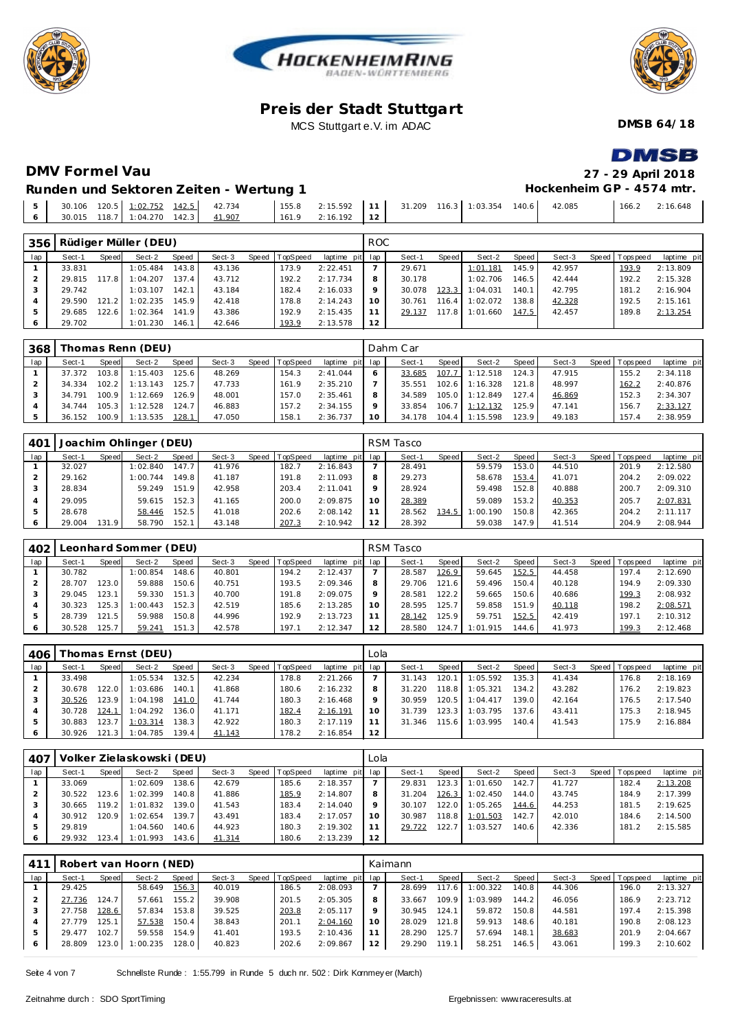





**DMSB 64/18**

**DMSB** 

# **DMV Formel Vau 27 - 29 April 2018**

#### **Runden und Sektoren Zeiten - Wertung 1**

| Runden und Sektoren Zeiten - Wertung 1 |        |                       |  |  | Hockenheim GP - 4574 mtr. |                |
|----------------------------------------|--------|-----------------------|--|--|---------------------------|----------------|
| $6$ 30.015 118.7 1:04.270 142.3        | 41.907 | $161.9$ 2:16.192   12 |  |  | 42.085                    | 166.2 2:16.648 |

| 356     |        |       | Rüdiger Müller (DEU) |       |        |       |          |                 | ROC.    |        |       |          |       |        |                |             |
|---------|--------|-------|----------------------|-------|--------|-------|----------|-----------------|---------|--------|-------|----------|-------|--------|----------------|-------------|
| lap     | Sect-1 | Speed | Sect-2               | Speed | Sect-3 | Speed | TopSpeed | laptime pit lap |         | Sect-1 | Speed | Sect-2   | Speed | Sect-3 | Speed Topspeed | laptime pit |
|         | 33.831 |       | 1:05.484             | 143.8 | 43.136 |       | 173.9    | 2:22.451        |         | 29.671 |       | 1:01.181 | 145.9 | 42.957 | 193.9          | 2:13.809    |
|         | 29.815 | 117.8 | 1:04.207             | 137.4 | 43.712 |       | 192.2    | 2:17.734        |         | 30.178 |       | 1:02.706 | 146.5 | 42.444 | 192.2          | 2:15.328    |
|         | 29.742 |       | 1:03.107             | 142.1 | 43.184 |       | 182.4    | 2:16.033        | $\circ$ | 30.078 | 123.3 | 1:04.031 | 140.1 | 42.795 | 181.2          | 2:16.904    |
|         | 29.590 | 121.2 | 1:02.235             | 145.9 | 42.418 |       | 178.8    | 2:14.243        | 10      | 30.761 | 116.4 | 1:02.072 | 138.8 | 42.328 | 192.5          | 2:15.161    |
| 5       | 29.685 | 122.6 | 1:02.364             | 141.9 | 43.386 |       | 192.9    | 2:15.435        |         | 29.137 | 117.8 | 1:01.660 | 147.5 | 42.457 | 189.8          | 2:13.254    |
| $\circ$ | 29.702 |       | 1:01.230             | 146.1 | 42.646 |       | 193.9    | 2:13.578        | 12      |        |       |          |       |        |                |             |

| 368 |        |       | Thomas Renn (DEU) |       |        |       |          |                 |    | Dahm Car |         |                  |                    |        |                 |             |
|-----|--------|-------|-------------------|-------|--------|-------|----------|-----------------|----|----------|---------|------------------|--------------------|--------|-----------------|-------------|
| lap | Sect-1 | Speed | Sect-2            | Speed | Sect-3 | Speed | TopSpeed | laptime pit lap |    | Sect-1   | Speed I | Sect-2           | Speed              | Sect-3 | Speed Tops peed | laptime pit |
|     | 37.372 | 103.8 | 1:15.403          | 125.6 | 48.269 |       | 154.3    | 2:41.044        |    | 33.685   | 107.7   | 1:12.518         | 124.3 <sub>1</sub> | 47.915 | 155.2           | 2:34.118    |
|     | 34.334 |       | $102.2$ 1:13.143  | 125.7 | 47.733 |       | 161.9    | 2:35.210        |    | 35.551   |         | $102.6$ 1:16.328 | 121.8              | 48.997 | 162.2           | 2:40.876    |
|     | 34.791 | 100.9 | 1:12.669          | 126.9 | 48.001 |       | 157.0    | 2:35.461        | 8  | 34.589   |         | $105.0$ 1:12.849 | 127.4              | 46.869 | 152.3           | 2:34.307    |
|     | 34.744 | 105.3 | 1:12.528          | 124.7 | 46.883 |       | 157.2    | 2:34.155        |    | 33.854   | 106.7   | 1:12.132         | 125.9 <sub>1</sub> | 47.141 | 156.            | 2:33.127    |
|     | 36.152 | 100.9 | 1:13.535          | 128.1 | 47.050 |       | 158.1    | 2:36.737        | 10 | 34.178   | 104.4   | 1:15.598         | 123.9              | 49.183 | 157.4           | 2:38.959    |

| 401 |        |          | Joachim Ohlinger (DEU) |       |        |                  |                 |                 | RSM Tasco |              |          |       |        |                   |             |
|-----|--------|----------|------------------------|-------|--------|------------------|-----------------|-----------------|-----------|--------------|----------|-------|--------|-------------------|-------------|
| lap | Sect-1 | Speed    | Sect-2                 | Speed | Sect-3 | Speed   TopSpeed | laptime pit lap |                 | Sect-1    | <b>Speed</b> | Sect-2   | Speed | Sect-3 | Speed   Tops peed | laptime pit |
|     | 32.027 |          | 1:02.840               | 147.7 | 41.976 | 182.7            | 2:16.843        |                 | 28.491    |              | 59.579   | 153.0 | 44.510 | 201.9             | 2:12.580    |
|     | 29.162 |          | 1:00.744               | 149.8 | 41.187 | 191.8            | 2:11.093        | 8               | 29.273    |              | 58.678   | 153.4 | 41.071 | 204.2             | 2:09.022    |
|     | 28.834 |          | 59.249                 | 151.9 | 42.958 | 203.4            | 2:11.041        | $\circ$         | 28.924    |              | 59.498   | 152.8 | 40.888 | 200.7             | 2:09.310    |
|     | 29.095 |          | 59.615                 | 152.3 | 41.165 | 200.0            | 2:09.875        | 10 <sup>°</sup> | 28.389    |              | 59.089   | 153.2 | 40.353 | 205.7             | 2:07.831    |
| -5  | 28.678 |          | 58.446                 | 152.5 | 41.018 | 202.6            | 2:08.142        |                 | 28.562    | 134.5        | 1:00.190 | 150.8 | 42.365 | 204.2             | 2:11.117    |
|     | 29.004 | 131<br>9 | 58.790                 | 152.1 | 43.148 | 207.3            | 2:10.942        | 12              | 28.392    |              | 59.038   | 147.9 | 41.514 | 204.9             | 2:08.944    |

| 402 |        |       | eonhard Sommer (DEU). |       |        |       |                 |             |     | RSM Tasco |       |          |       |        |         |            |             |
|-----|--------|-------|-----------------------|-------|--------|-------|-----------------|-------------|-----|-----------|-------|----------|-------|--------|---------|------------|-------------|
| lap | Sect-1 | Speed | Sect-2                | Speed | Sect-3 | Speed | <b>TopSpeed</b> | laptime pit | lap | Sect-1    | Speed | Sect-2   | Speed | Sect-3 | Speed I | T ops peed | laptime pit |
|     | 30.782 |       | 1:00.854              | 148.6 | 40.801 |       | 194.2           | 2:12.437    |     | 28.587    | 126.9 | 59.645   | 152.5 | 44.458 |         | 197.4      | 2:12.690    |
|     | 28.707 | 123.0 | 59.888                | 150.6 | 40.751 |       | 193.5           | 2:09.346    |     | 29.706    | 121.6 | 59.496   | 150.4 | 40.128 |         | 194.9      | 2:09.330    |
|     | 29.045 | 123.1 | 59.330                | 151.3 | 40.700 |       | 191.8           | 2:09.075    |     | 28.581    | 122.2 | 59.665   | 150.6 | 40.686 |         | 199.3      | 2:08.932    |
|     | 30.323 | 125.3 | :00.443               | 152.3 | 42.519 |       | 185.6           | 2:13.285    |     | 28.595    | 125.7 | 59.858   | 151.9 | 40.118 |         | 198.2      | 2:08.571    |
|     | 28.739 | 121.5 | 59.988                | 150.8 | 44.996 |       | 192.9           | 2:13.723    |     | 28.142    | 125.9 | 59.751   | 152.5 | 42.419 |         | 197.1      | 2:10.312    |
| 6   | 30.528 | 125.7 | 59.241                | 151.3 | 42.578 |       | 197.1           | 2:12.347    | 12  | 28.580    | 124.1 | 1:01.915 | 144.6 | 41.973 |         | 199.3      | 2:12.468    |

| 406 |        |         | Thomas Ernst (DEU) |       |        |       |          |                 | Lola |        |       |                  |       |        |         |             |             |
|-----|--------|---------|--------------------|-------|--------|-------|----------|-----------------|------|--------|-------|------------------|-------|--------|---------|-------------|-------------|
| lap | Sect-1 | Speed   | Sect-2             | Speed | Sect-3 | Speed | TopSpeed | laptime pit lap |      | Sect-1 | Speed | Sect-2           | Speed | Sect-3 | Speed I | T ops pee d | laptime pit |
|     | 33.498 |         | 1:05.534           | 132.5 | 42.234 |       | 178.8    | 2:21.266        |      | 31.143 | 120.  | 1:05.592         | 135.3 | 41.434 |         | 176.8       | 2:18.169    |
|     | 30.678 | 22.0    | 1:03.686           | 140.1 | 41.868 |       | 180.6    | 2:16.232        |      | 31.220 | 118.8 | 1:05.321         | 134.2 | 43.282 |         | 176.2       | 2:19.823    |
|     | 30.526 | 123.9   | 1:04.198           | 141.0 | 41.744 |       | 180.3    | 2:16.468        |      | 30.959 | 120.5 | 1:04.417         | 139.0 | 42.164 |         | 176.5       | 2:17.540    |
|     | 30.728 | 124.1   | 1:04.292           | 136.0 | 41.171 |       | 182.4    | 2:16.191        | 1 O  | 31.739 | 123.3 | 1:03.795         | 137.6 | 43.411 |         | 175.3       | 2:18.945    |
|     | 30.883 | 123.7   | 1:03.314           | 138.3 | 42.922 |       | 180.3    | 2:17.119        |      | 31.346 |       | $115.6$ 1:03.995 | 140.4 | 41.543 |         | 175.9       | 2:16.884    |
|     | 30.926 | 121.3 I | 1:04.785           | 139.4 | 41.143 |       | 178.2    | 2:16.854        | 12   |        |       |                  |       |        |         |             |             |

| 407 |        |        | Volker Zielaskowski (DEU) |       |        |                |             | Lola |        |                    |          |       |        |                |             |
|-----|--------|--------|---------------------------|-------|--------|----------------|-------------|------|--------|--------------------|----------|-------|--------|----------------|-------------|
| lap | Sect-1 | Speed  | Sect-2                    | Speed | Sect-3 | Speed TopSpeed | laptime pit | lap  | Sect-1 | Speed              | Sect-2   | Speed | Sect-3 | Speed Topspeed | laptime pit |
|     | 33.069 |        | 1:02.609                  | 138.6 | 42.679 | 185.6          | 2:18.357    |      | 29.831 | 123.3 <sub>1</sub> | 1:01.650 | 142.7 | 41.727 | 182.4          | 2:13.208    |
|     | 30.522 | 123.6  | 1:02.399                  | 140.8 | 41.886 | 185.9          | 2:14.807    | 8    | 31.204 | 126.3              | 1:02.450 | 144.0 | 43.745 | 184.9          | 2:17.399    |
|     | 30.665 | 119.2  | 1:01.832                  | 139.0 | 41.543 | 183.4          | 2:14.040    | 9    | 30.107 | 122.0              | 1:05.265 | 144.6 | 44.253 | 181.5          | 2:19.625    |
|     | 30.912 | 120.91 | 1:02.654                  | 139.7 | 43.491 | 183.4          | 2:17.057    | 10   | 30.987 | 118.8              | 1:01.503 | 142.7 | 42.010 | 184.6          | 2:14.500    |
|     | 29.819 |        | 1:04.560                  | 140.6 | 44.923 | 180.3          | 2:19.302    | 11   | 29.722 | 122.7              | 1:03.527 | 140.6 | 42.336 | 181.2          | 2:15.585    |
|     | 29.932 | 23.4   | 1:01.993                  | 143.6 | 41.314 | 180.6          | 2:13.239    | 12   |        |                    |          |       |        |                |             |

|     |        |       | Robert van Hoorn (NED) |       |        |       |          |                 |    | Kaimann |       |          |       |        |                |             |
|-----|--------|-------|------------------------|-------|--------|-------|----------|-----------------|----|---------|-------|----------|-------|--------|----------------|-------------|
| lap | Sect-1 | Speed | Sect-2                 | Speed | Sect-3 | Speed | TopSpeed | laptime pit lap |    | Sect-1  | Speed | Sect-2   | Speed | Sect-3 | Speed Topspeed | laptime pit |
|     | 29.425 |       | 58.649                 | 156.3 | 40.019 |       | 186.5    | 2:08.093        |    | 28.699  | 117.6 | 1:00.322 | 140.8 | 44.306 | 196.0          | 2:13.327    |
|     | 27.736 | 124.7 | 57.661                 | 155.2 | 39.908 |       | 201.5    | 2:05.305        |    | 33.667  | 109.9 | 1:03.989 | 144.2 | 46.056 | 186.9          | 2:23.712    |
|     | 27.758 | 128.6 | 57.834                 | 153.8 | 39.525 |       | 203.8    | 2:05.117        |    | 30.945  | 124.1 | 59.872   | 150.8 | 44.581 | 197.4          | 2:15.398    |
|     | 27.779 | 125.1 | 57.538                 | 150.4 | 38.843 |       | 201.1    | 2:04.160        | 10 | 28.029  | 121.8 | 59.913   | 148.6 | 40.181 | 190.8          | 2:08.123    |
| .5  | 29.477 | 102.7 | 59.558                 | 154.9 | 41.401 |       | 193.5    | 2:10.436        |    | 28.290  | 125.7 | 57.694   | 148.1 | 38.683 | 201.9          | 2:04.667    |
| 6   | 28.809 | 123.0 | 1:00.235               | 128.0 | 40.823 |       | 202.6    | 2:09.867        |    | 29.290  | 119.1 | 58.251   | 146.5 | 43.061 | 199.3          | 2:10.602    |

Seite 4 von 7 Schnellste Runde : 1:55.799 in Runde 5 duch nr. 502 : Dirk Kornmey er (March)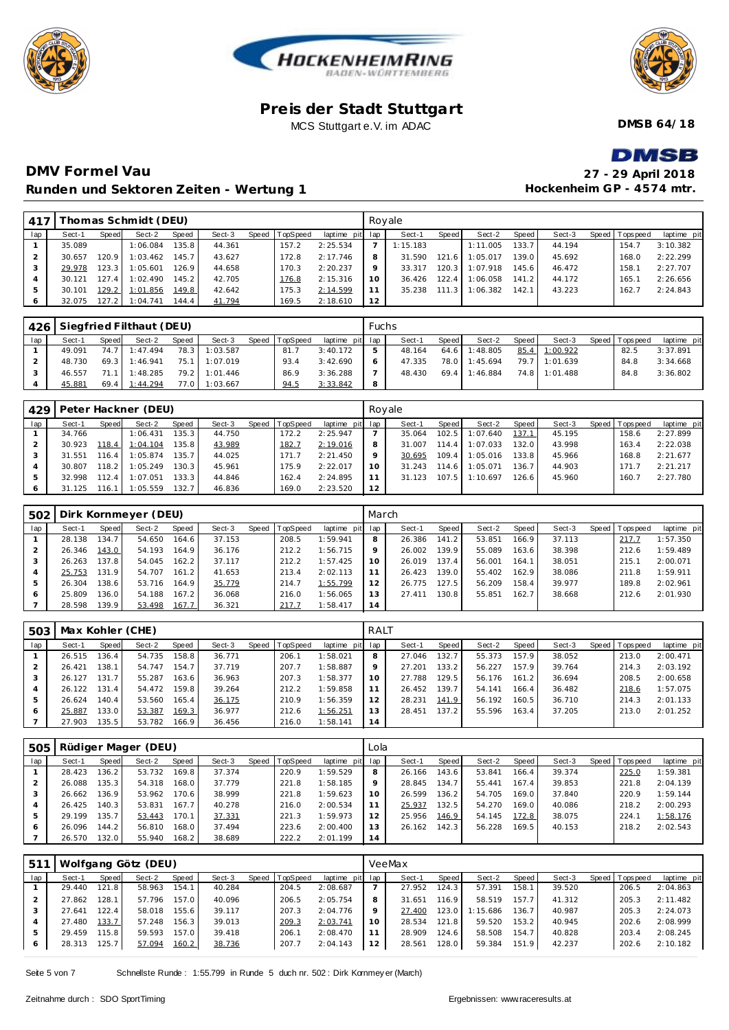





**DMSB 64/18**

# **DMCR**

# **DMV Formel Vau Runden und Sektoren Zeiten - Wertung 1**

| <u> Вистр</u>             |
|---------------------------|
| 27 - 29 April 2018        |
| Hockenheim GP - 4574 mtr. |

| 417 |        |         | Thomas Schmidt (DEU) |       |        |                |                 | Royale  |          |       |          |       |        |                |             |
|-----|--------|---------|----------------------|-------|--------|----------------|-----------------|---------|----------|-------|----------|-------|--------|----------------|-------------|
| lap | Sect-1 | Speed   | Sect-2               | Speed | Sect-3 | Speed TopSpeed | laptime pit lap |         | Sect-1   | Speed | Sect-2   | Speed | Sect-3 | Speed Topspeed | laptime pit |
|     | 35.089 |         | 1:06.084             | 135.8 | 44.361 | 157.2          | 2:25.534        |         | 1:15.183 |       | 1:11.005 | 133.7 | 44.194 | 154.7          | 3:10.382    |
|     | 30.657 | 120.9 L | 1:03.462             | 145.7 | 43.627 | 172.8          | 2:17.746        | 8       | 31.590   | 121.6 | 1:05.017 | 139.0 | 45.692 | 168.0          | 2:22.299    |
|     | 29.978 | 123.3   | 1:05.601             | 126.9 | 44.658 | 170.3          | 2:20.237        | $\circ$ | 33.317   | 120.3 | 1:07.918 | 145.6 | 46.472 | 158.1          | 2:27.707    |
|     | 30.121 | 127.4   | 1:02.490             | 145.2 | 42.705 | 176.8          | 2:15.316        | 10      | 36.426   | 122.4 | 1:06.058 | 141.2 | 44.172 | 165.1          | 2:26.656    |
| 5   | 30.101 | 129.2   | 1:01.856             | 149.8 | 42.642 | 175.3          | 2:14.599        |         | 35.238   | 111.3 | 1:06.382 | 142.1 | 43.223 | 162.7          | 2:24.843    |
|     | 32.075 | 127.2   | 1:04.741             | 144.4 | 41.794 | 169.5          | 2:18.610        | 12      |          |       |          |       |        |                |             |

|     |        |              | 426   Siegfried Filthaut (DEU) |              |               |       |          |                 | <b>Fuchs</b> |        |       |          |         |               |                 |             |
|-----|--------|--------------|--------------------------------|--------------|---------------|-------|----------|-----------------|--------------|--------|-------|----------|---------|---------------|-----------------|-------------|
| lap | Sect-1 | <b>Speed</b> | Sect-2                         | <b>Speed</b> | Sect-3        | Speed | TopSpeed | laptime pit lap |              | Sect-1 | Speed | Sect-2   | Speed I | Sect-3        | Speed Tops peed | laptime pit |
|     | 49.091 | 74.7         | 1:47.494                       | 78.3         | 1:03.587      |       | 81.7     | 3:40.172        |              | 48.164 | 64.6  | 1:48.805 |         | 85.4 1:00.922 | 82.5            | 3:37.891    |
|     | 48.730 | 69.3         | 1:46.941                       |              | 75.1 1:07.019 |       | 93.4     | 3:42.690        |              | 47.335 | 78.0  | 1:45.694 |         | 79.7 1:01.639 | 84.8            | 3:34.668    |
|     | 46.557 |              | 1:48.285                       |              | 79.2 1:01.446 |       | 86.9     | 3:36.288        |              | 48.430 | 69.4  | 1:46.884 |         | 74.8 1:01.488 | 84.8            | 3:36.802    |
|     | 45.881 |              | 69.4 1:44.294                  | 77.0         | 1:03.667      |       | 94.5     | 3:33.842        | 8            |        |       |          |         |               |                 |             |

| 429 |        |         | Peter Hackner (DEU) |       |        |                |             |     | Rovale |         |                |       |        |                 |             |
|-----|--------|---------|---------------------|-------|--------|----------------|-------------|-----|--------|---------|----------------|-------|--------|-----------------|-------------|
| lap | Sect-1 | Speed   | Sect-2              | Speed | Sect-3 | Speed TopSpeed | laptime pit | lap | Sect-1 | Speed I | Sect-2         | Speed | Sect-3 | Speed Tops peed | laptime pit |
|     | 34.766 |         | 1:06.431            | 135.3 | 44.750 | 172.2          | 2:25.947    |     | 35.064 | 102.5   | 1:07.640       | 137.1 | 45.195 | 158.6           | 2:27.899    |
|     | 30.923 | 118.4   | 1:04.104            | 135.8 | 43.989 | 182.7          | 2:19.016    | 8   | 31.007 | 114.4   | 1:07.033       | 132.0 | 43.998 | 163.4           | 2:22.038    |
|     | 31.551 | 116.4   | 1:05.874            | 135.7 | 44.025 | 171.7          | 2:21.450    | 9   | 30.695 | 109.4   | 1:05.016       | 133.8 | 45.966 | 168.8           | 2:21.677    |
|     | 30.807 | 118.2 I | 1:05.249            | 130.3 | 45.961 | 175.9          | 2:22.017    | 10  | 31.243 | 114.6   | 1:05.071       | 136.7 | 44.903 | 171.7           | 2:21.217    |
|     | 32.998 | 112.4   | 1:07.051            | 133.3 | 44.846 | 162.4          | 2:24.895    |     | 31.123 |         | 107.5 1:10.697 | 126.6 | 45.960 | 160.7           | 2:27.780    |
|     | 31.125 | 116.1   | 1:05.559            | 132.7 | 46.836 | 169.0          | 2:23.520    | 12  |        |         |                |       |        |                 |             |

|     |        |       | 502   Dirk Kornmeyer (DEU) |       |        |       |         |             | March   |        |         |        |         |        |         |            |             |
|-----|--------|-------|----------------------------|-------|--------|-------|---------|-------------|---------|--------|---------|--------|---------|--------|---------|------------|-------------|
| lap | Sect-1 | Speed | Sect-2                     | Speed | Sect-3 | Speed | opSpeed | laptime pit | lap     | Sect-1 | Speed I | Sect-2 | Speed I | Sect-3 | Speed I | T ops peed | laptime pit |
|     | 28.138 | 134.7 | 54.650                     | 164.6 | 37.153 |       | 208.5   | 1:59.941    | 8       | 26.386 | 141.2   | 53.851 | 166.9   | 37.113 |         | 217.7      | 1:57.350    |
|     | 26.346 | 143.0 | 54.193                     | 164.9 | 36.176 |       | 212.2   | 1:56.715    | $\circ$ | 26.002 | 139.9   | 55.089 | 163.6   | 38.398 |         | 212.6      | 1:59.489    |
| 3   | 26.263 | 137.8 | 54.045                     | 162.2 | 37.117 |       | 212.2   | 1:57.425    | 10      | 26.019 | 137.4   | 56.001 | 164.1   | 38.051 |         | 215.1      | 2:00.071    |
|     | 25.753 | 131.9 | 54.707                     | 161.2 | 41.653 |       | 213.4   | 2:02.113    |         | 26.423 | 139.0   | 55.402 | 162.9   | 38.086 |         | 211.8      | 1:59.911    |
| 5   | 26.304 | 138.6 | 53.716                     | 164.9 | 35.779 |       | 214.7   | 1:55.799    | 12      | 26.775 | 127.5   | 56.209 | 158.4   | 39.977 |         | 189.8      | 2:02.961    |
| 6   | 25.809 | 136.0 | 54.188                     | 167.2 | 36.068 |       | 216.0   | 1:56.065    | 13      | 27.411 | 130.8   | 55.851 | 162.7   | 38.668 |         | 212.6      | 2:01.930    |
|     | 28.598 | 139.9 | 53.498                     | 167.7 | 36.321 |       | 217.7   | 1:58.417    | 14      |        |         |        |         |        |         |            |             |

| 503 |        |       | Max Kohler (CHE) |       |        |       |                 |                 | RALT |        |        |        |       |        |                 |             |
|-----|--------|-------|------------------|-------|--------|-------|-----------------|-----------------|------|--------|--------|--------|-------|--------|-----------------|-------------|
| lap | Sect-1 | Speed | Sect-2           | Speed | Sect-3 | Speed | <b>TopSpeed</b> | laptime pit lap |      | Sect-1 | Speed  | Sect-2 | Speed | Sect-3 | Speed Tops peed | laptime pit |
|     | 26.515 | 136.4 | 54.735           | 158.8 | 36.771 |       | 206.1           | 1:58.021        | 8    | 27.046 | 132.7  | 55.373 | 157.9 | 38.052 | 213.0           | 2:00.471    |
|     | 26.421 | 138.1 | 54.747           | 154.7 | 37.719 |       | 207.7           | 1:58.887        | Q    | 27.201 | 133.2  | 56.227 | 157.9 | 39.764 | 214.3           | 2:03.192    |
|     | 26.127 | 131.7 | 55.287           | 163.6 | 36.963 |       | 207.3           | 1:58.377        | 1 O  | 27.788 | 129.5  | 56.176 | 161.2 | 36.694 | 208.5           | 2:00.658    |
|     | 26.122 | 131.4 | 54.472           | 159.8 | 39.264 |       | 212.2           | 1:59.858        |      | 26.452 | 139.7  | 54.141 | 166.4 | 36.482 | 218.6           | 1:57.075    |
|     | 26.624 | 140.4 | 53.560           | 165.4 | 36.175 |       | 210.9           | 1:56.359        |      | 28.231 | 141.9  | 56.192 | 160.5 | 36.710 | 214.3           | 2:01.133    |
|     | 25.887 | 133.0 | 53.387           | 169.3 | 36.977 |       | 212.6           | 1:56.251        | 13   | 28.451 | 137.2. | 55.596 | 163.4 | 37.205 | 213.0           | 2:01.252    |
|     | 27.903 | 135.5 | 53.782           | 166.9 | 36.456 |       | 216.0           | 1:58.141        | 14   |        |        |        |       |        |                 |             |

|     |        |       | 505   Rüdiger Mager (DEU) |       |        |                |                 | Lola |        |       |        |       |        |                |             |
|-----|--------|-------|---------------------------|-------|--------|----------------|-----------------|------|--------|-------|--------|-------|--------|----------------|-------------|
| lap | Sect-1 | Speed | Sect-2                    | Speed | Sect-3 | Speed TopSpeed | laptime pit lap |      | Sect-1 | Speed | Sect-2 | Speed | Sect-3 | Speed Topspeed | laptime pit |
|     | 28.423 | 136.2 | 53.732                    | 169.8 | 37.374 | 220.9          | 1:59.529        | 8    | 26.166 | 143.6 | 53.841 | 166.4 | 39.374 | 225.0          | 1:59.381    |
|     | 26.088 | 135.3 | 54.318                    | 168.0 | 37.779 | 221.8          | 1:58.185        | 9    | 28.845 | 134.7 | 55.441 | 167.4 | 39.853 | 221.8          | 2:04.139    |
|     | 26.662 | 136.9 | 53.962                    | 170.6 | 38.999 | 221.8          | 1:59.623        | 10   | 26.599 | 136.2 | 54.705 | 169.0 | 37.840 | 220.9          | 1:59.144    |
|     | 26.425 | 140.3 | 53.831                    | 167.7 | 40.278 | 216.0          | 2:00.534        | 11   | 25.937 | 132.5 | 54.270 | 169.0 | 40.086 | 218.2          | 2:00.293    |
|     | 29.199 | 135.7 | 53.443                    | 170.1 | 37.331 | 221.3          | 1:59.973        | 12   | 25.956 | 146.9 | 54.145 | 172.8 | 38.075 | 224.1          | 1:58.176    |
| 6   | 26.096 | 144.2 | 56.810                    | 168.0 | 37.494 | 223.6          | 2:00.400        | 13   | 26.162 | 142.3 | 56.228 | 169.5 | 40.153 | 218.2          | 2:02.543    |
|     | 26.570 | 132.0 | 55.940                    | 168.2 | 38.689 | 222.2          | 2:01.199        | 14   |        |       |        |       |        |                |             |

| 51  |        |       | Wolfgang Götz (DEU) |       |        |       |          |                 |    | VeeMax |                    |          |       |        |                |             |
|-----|--------|-------|---------------------|-------|--------|-------|----------|-----------------|----|--------|--------------------|----------|-------|--------|----------------|-------------|
| lap | Sect-1 | Speed | Sect-2              | Speed | Sect-3 | Speed | TopSpeed | laptime pit lap |    | Sect-1 | Speed              | Sect-2   | Speed | Sect-3 | Speed Topspeed | laptime pit |
|     | 29.440 | 121.8 | 58.963              | 154.1 | 40.284 |       | 204.5    | 2:08.687        |    | 27.952 | 124.3              | 57.391   | 158.1 | 39.520 | 206.5          | 2:04.863    |
|     | 27.862 | 128.1 | 57.796              | 157.0 | 40.096 |       | 206.5    | 2:05.754        | 8  | 31.651 | 116.9              | 58.519   | 157.7 | 41.312 | 205.3          | 2:11.482    |
|     | 27.641 | 122.4 | 58.018              | 155.6 | 39.117 |       | 207.3    | 2:04.776        |    | 27.400 | 123.0.             | 1:15.686 | 136.7 | 40.987 | 205.3          | 2:24.073    |
|     | 27.480 | 133.7 | 57.248              | 156.3 | 39.013 |       | 209.3    | 2:03.741        | 10 | 28.534 | 121.8 <sub>1</sub> | 59.520   | 153.2 | 40.945 | 202.6          | 2:08.999    |
| .5  | 29.459 | 15.8  | 59.593              | 157.0 | 39.418 |       | 206.1    | 2:08.470        |    | 28.909 | 124.6              | 58.508   | 154.7 | 40.828 | 203.4          | 2:08.245    |
| 6   | 28.313 | 125.7 | 57.094              | 160.2 | 38.736 |       | 207.7    | 2:04.143        |    | 28.561 | 128.0              | 59.384   | 151.9 | 42.237 | 202.6          | 2:10.182    |

Seite 5 von 7 Schnellste Runde : 1:55.799 in Runde 5 duch nr. 502 : Dirk Kornmey er (March)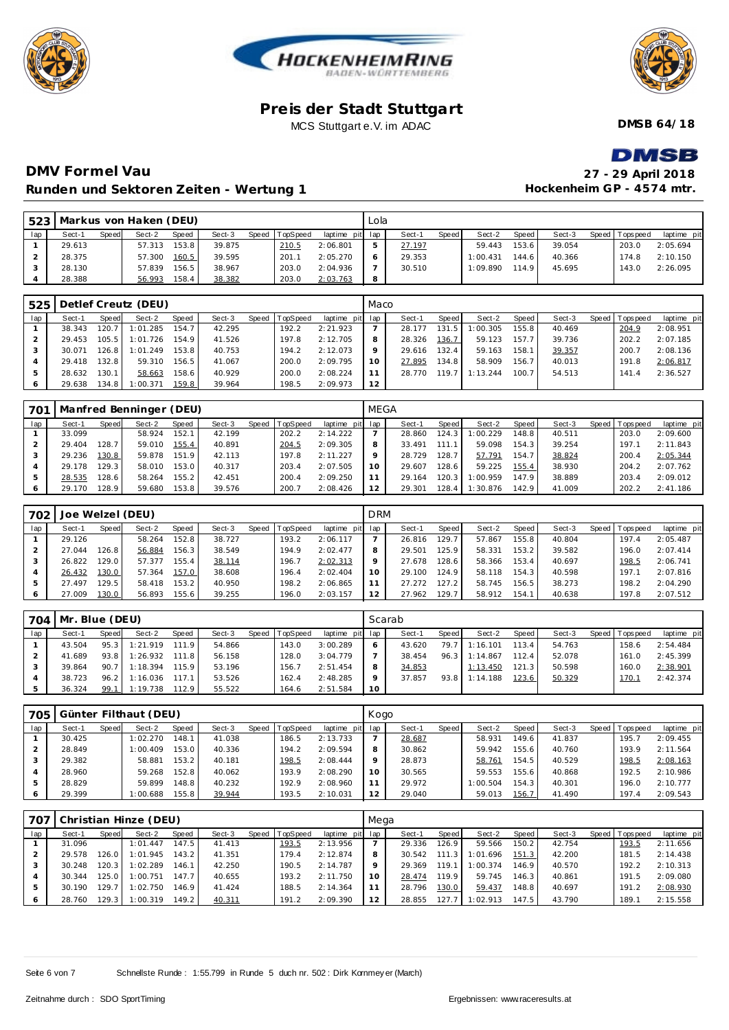





**DMSB 64/18**

# DMSR

# **DMV Formel Vau Runden und Sektoren Zeiten - Wertung 1**

| 27 - 29 April 2018        |
|---------------------------|
| Hockenheim GP - 4574 mtr. |

| 523 |        |       | Markus von Haken (DEU) |       |        |       |          |                 | Lola |        |       |          |        |        |                 |             |
|-----|--------|-------|------------------------|-------|--------|-------|----------|-----------------|------|--------|-------|----------|--------|--------|-----------------|-------------|
| lap | Sect-1 | Speed | Sect-2                 | Speed | Sect-3 | Speed | TopSpeed | laptime pit lap |      | Sect-1 | Speed | Sect-2   | Speed  | Sect-3 | Speed Tops peed | laptime pit |
|     | 29.613 |       | 57.313                 | 153.8 | 39.875 |       | 210.5    | 2:06.801        |      | 27.197 |       | 59.443   | 153.6  | 39.054 | 203.0           | 2:05.694    |
|     | 28.375 |       | 57.300                 | 160.5 | 39.595 |       | 201.1    | 2:05.270        |      | 29.353 |       | 1:00.431 | 144.6  | 40.366 | 174.8           | 2:10.150    |
|     | 28.130 |       | 57.839                 | 156.5 | 38.967 |       | 203.0    | 2:04.936        |      | 30.510 |       | 1:09.890 | 114.91 | 45.695 | 143.0           | 2:26.095    |
|     | 28.388 |       | 56.993                 | 158.4 | 38.382 |       | 203.0    | 2:03.763        | 8    |        |       |          |        |        |                 |             |

| 525 |        |       | Detlef Creutz (DEU) |       |        |                |                 | Maco    |        |       |          |       |        |                 |             |
|-----|--------|-------|---------------------|-------|--------|----------------|-----------------|---------|--------|-------|----------|-------|--------|-----------------|-------------|
| lap | Sect-1 | Speed | Sect-2              | Speed | Sect-3 | Speed TopSpeed | laptime pit lap |         | Sect-1 | Speed | Sect-2   | Speed | Sect-3 | Speed Tops peed | laptime pit |
|     | 38.343 | 120.7 | 1:01.285            | 154.7 | 42.295 | 192.2          | 2:21.923        |         | 28.177 | 131.5 | 1:00.305 | 155.8 | 40.469 | 204.9           | 2:08.951    |
|     | 29.453 | 105.5 | 1:01.726            | 154.9 | 41.526 | 197.8          | 2:12.705        | 8       | 28.326 | 136.7 | 59.123   | 157.7 | 39.736 | 202.2           | 2:07.185    |
|     | 30.071 | 126.8 | 1:01.249            | 153.8 | 40.753 | 194.2          | 2:12.073        | $\circ$ | 29.616 | 132.4 | 59.163   | 158.1 | 39.357 | 200.7           | 2:08.136    |
|     | 29.418 | 132.8 | 59.310              | 156.5 | 41.067 | 200.0          | 2:09.795        | 10      | 27.895 | 134.8 | 58.909   | 156.7 | 40.013 | 191.8           | 2:06.817    |
|     | 28.632 | 130.1 | 58.663              | 158.6 | 40.929 | 200.0          | 2:08.224        |         | 28.770 | 119.7 | 1:13.244 | 100.7 | 54.513 | 141.4           | 2:36.527    |
|     | 29.638 | 134.8 | 1:00.371            | 159.8 | 39.964 | 198.5          | 2:09.973        | 12      |        |       |          |       |        |                 |             |

| 701 |        |       | Manfred Benninger (DEU) |       |        |                  |                 | <b>MEGA</b>     |        |       |          |       |        |                |             |
|-----|--------|-------|-------------------------|-------|--------|------------------|-----------------|-----------------|--------|-------|----------|-------|--------|----------------|-------------|
| lap | Sect-1 | Speed | Sect-2                  | Speed | Sect-3 | Speed   TopSpeed | laptime pit lap |                 | Sect-1 | Speed | Sect-2   | Speed | Sect-3 | Speed Topspeed | laptime pit |
|     | 33.099 |       | 58.924                  | 152.1 | 42.199 | 202.2            | 2:14.222        |                 | 28.860 | 124.3 | 1:00.229 | 148.8 | 40.511 | 203.0          | 2:09.600    |
|     | 29.404 | 128.7 | 59.010                  | 155.4 | 40.891 | 204.5            | 2:09.305        | 8               | 33.491 | 111.1 | 59.098   | 154.3 | 39.254 | 197.1          | 2:11.843    |
|     | 29.236 | 130.8 | 59.878                  | 151.9 | 42.113 | 197.8            | 2:11.227        | Q               | 28.729 | 128.7 | 57.791   | 154.7 | 38.824 | 200.4          | 2:05.344    |
|     | 29.178 | 129.3 | 58.010                  | 153.0 | 40.317 | 203.4            | 2:07.505        | 10 <sup>°</sup> | 29.607 | 128.6 | 59.225   | 155.4 | 38.930 | 204.2          | 2:07.762    |
|     | 28.535 | 28.6  | 58.264                  | 155.2 | 42.451 | 200.4            | 2:09.250        |                 | 29.164 | 20.3  | 1:00.959 | 147.9 | 38.889 | 203.4          | 2:09.012    |
|     | 29.170 | 28.9  | 59.680                  | 153.8 | 39.576 | 200.7            | 2:08.426        | 12              | 29.301 | 128.4 | 1:30.876 | 142.9 | 41.009 | 202.2          | 2:41.186    |

| 702 | Joe Welzel (DEU) |       |        |       |        |       |          |             | <b>DRM</b> |        |       |        |       |        |       |            |             |
|-----|------------------|-------|--------|-------|--------|-------|----------|-------------|------------|--------|-------|--------|-------|--------|-------|------------|-------------|
| lap | Sect-1           | Speed | Sect-2 | Speed | Sect-3 | Speed | TopSpeed | laptime pit | lap        | Sect-1 | Speed | Sect-2 | Speed | Sect-3 | Speed | Tops pee d | laptime pit |
|     | 29.126           |       | 58.264 | 152.8 | 38.727 |       | 193.2    | 2:06.117    |            | 26.816 | 129.7 | 57.867 | 155.8 | 40.804 |       | 197.4      | 2:05.487    |
|     | 27.044           | 26.8  | 56.884 | 156.3 | 38.549 |       | 194.9    | 2:02.477    | 8          | 29.501 | 125.9 | 58.331 | 153.2 | 39.582 |       | 196.0      | 2:07.414    |
|     | 26.822           | 29.0  | 57.377 | 155.4 | 38.114 |       | 196.7    | 2:02.313    | Q          | 27.678 | 28.6  | 58.366 | 153.4 | 40.697 |       | 198.5      | 2:06.741    |
|     | 26.432           | 130.0 | 57.364 | 157.0 | 38.608 |       | 196.4    | 2:02.404    | 10         | 29.100 | 124.9 | 58.118 | 154.3 | 40.598 |       | 197.1      | 2:07.816    |
| 5   | 27.497           | 29.5  | 58.418 | 153.2 | 40.950 |       | 198.2    | 2:06.865    | 11         | 27.272 | 127.2 | 58.745 | 156.5 | 38.273 |       | 198.2      | 2:04.290    |
| 6   | 27.009           | 130.0 | 56.893 | 155.6 | 39.255 |       | 196.0    | 2:03.157    | 12         | 27.962 | 129.7 | 58.912 | 154.1 | 40.638 |       | 197.8      | 2:07.512    |

| 704 | Mr. Blue (DEU) |       |          |       |        |                  |                 |    | Scarab |              |          |       |        |                 |             |
|-----|----------------|-------|----------|-------|--------|------------------|-----------------|----|--------|--------------|----------|-------|--------|-----------------|-------------|
| lap | Sect-1         | Speed | Sect-2   | Speed | Sect-3 | Speed   TopSpeed | laptime pit lap |    | Sect-1 | <b>Speed</b> | Sect-2   | Speed | Sect-3 | Speed Tops peed | laptime pit |
|     | 43.504         | 95.3  | 1:21.919 | 111.9 | 54.866 | 43.0             | 3:00.289        | 6  | 43.620 | 79.7         | 1:16.101 | 113.4 | 54.763 | 158.6           | 2:54.484    |
|     | 41.689         | 93.8  | 1:26.932 | 111.8 | 56.158 | 128.0            | 3:04.779        |    | 38.454 | 96.3         | 1:14.867 | 112.4 | 52.078 | 161.0           | 2:45.399    |
|     | 39.864         | 90.7  | 1:18.394 | 115.9 | 53.196 | 156.7            | 2:51.454        | 8  | 34.853 |              | 1:13.450 | 121.3 | 50.598 | 160.0           | 2:38.901    |
|     | 38.723         | 96.2  | 1:16.036 | 117.1 | 53.526 | 162.4            | 2:48.285        | Q  | 37.857 | 93.8         | 1:14.188 | 123.6 | 50.329 | 170.1           | 2:42.374    |
|     | 36.324         | 99.1  | 1:19.738 | 112.9 | 55.522 | 164.6            | 2:51.584        | 10 |        |              |          |       |        |                 |             |

| 705 |        |       | Günter Filthaut (DEU) |       |        |       |          |                 | Kogo    |        |         |          |       |        |  |                |             |  |  |
|-----|--------|-------|-----------------------|-------|--------|-------|----------|-----------------|---------|--------|---------|----------|-------|--------|--|----------------|-------------|--|--|
| lap | Sect-1 | Speed | Sect-2                | Speed | Sect-3 | Speed | TopSpeed | laptime pit lap |         | Sect-1 | Speed I | Sect-2   | Speed | Sect-3 |  | Speed Topspeed | laptime pit |  |  |
|     | 30.425 |       | 1:02.270              | 148.1 | 41.038 |       | 186.5    | 2:13.733        |         | 28.687 |         | 58.931   | 149.6 | 41.837 |  | 195.7          | 2:09.455    |  |  |
|     | 28.849 |       | 1:00.409              | 153.0 | 40.336 |       | 194.2    | 2:09.594        | 8       | 30.862 |         | 59.942   | 155.6 | 40.760 |  | 193.9          | 2:11.564    |  |  |
|     | 29.382 |       | 58.881                | 153.2 | 40.181 |       | 198.5    | 2:08.444        | $\circ$ | 28.873 |         | 58.761   | 154.5 | 40.529 |  | 198.5          | 2:08.163    |  |  |
|     | 28.960 |       | 59.268                | 152.8 | 40.062 |       | 193.9    | 2:08.290        | 10      | 30.565 |         | 59.553   | 155.6 | 40.868 |  | 192.5          | 2:10.986    |  |  |
|     | 28.829 |       | 59.899                | 148.8 | 40.232 |       | 192.9    | 2:08.960        |         | 29.972 |         | 1:00.504 | 154.3 | 40.301 |  | 196.0          | 2:10.777    |  |  |
| 6   | 29.399 |       | 1:00.688              | 155.8 | 39.944 |       | 193.5    | 2:10.031        | 12      | 29.040 |         | 59.013   | 156.7 | 41.490 |  | 197.4          | 2:09.543    |  |  |

| 707 |        |        | Christian Hinze (DEU) |       |        |                |                 | Mega    |        |         |          |       |        |  |                 |             |  |
|-----|--------|--------|-----------------------|-------|--------|----------------|-----------------|---------|--------|---------|----------|-------|--------|--|-----------------|-------------|--|
| lap | Sect-1 | Speed  | Sect-2                | Speed | Sect-3 | Speed TopSpeed | laptime pit lap |         | Sect-1 | Speed I | Sect-2   | Speed | Sect-3 |  | Speed Tops peed | laptime pit |  |
|     | 31.096 |        | 1:01.447              | 147.5 | 41.413 | 193.5          | 2:13.956        |         | 29.336 | 126.9   | 59.566   | 150.2 | 42.754 |  | 193.5           | 2:11.656    |  |
|     | 29.578 | 126.0  | 1:01.945              | 143.2 | 41.351 | 179.4          | 2:12.874        | 8       | 30.542 | 111.3   | 1:01.696 | 151.3 | 42.200 |  | 181.5           | 2:14.438    |  |
|     | 30.248 | 120.31 | 1:02.289              | 146.1 | 42.250 | 190.5          | 2:14.787        | $\circ$ | 29.369 | 119.1   | 1:00.374 | 146.9 | 40.570 |  | 192.2           | 2:10.313    |  |
|     | 30.344 | 125.0  | 1:00.751              | 147.7 | 40.655 | 193.2          | 2:11.750        |         | 28.474 | 119.9   | 59.745   | 146.3 | 40.861 |  | 191.5           | 2:09.080    |  |
|     | 30.190 | 129.7  | 1:02.750              | 146.9 | 41.424 | 188.5          | 2:14.364        |         | 28.796 | 130.0   | 59.437   | 148.8 | 40.697 |  | 191.2           | 2:08.930    |  |
| 6   | 28.760 | 129.3  | 1:00.319              | 149.2 | 40.311 | 191.2          | 2:09.390        | 12      | 28.855 | 127.7   | 1:02.913 | 147.5 | 43.790 |  | 189.1           | 2:15.558    |  |